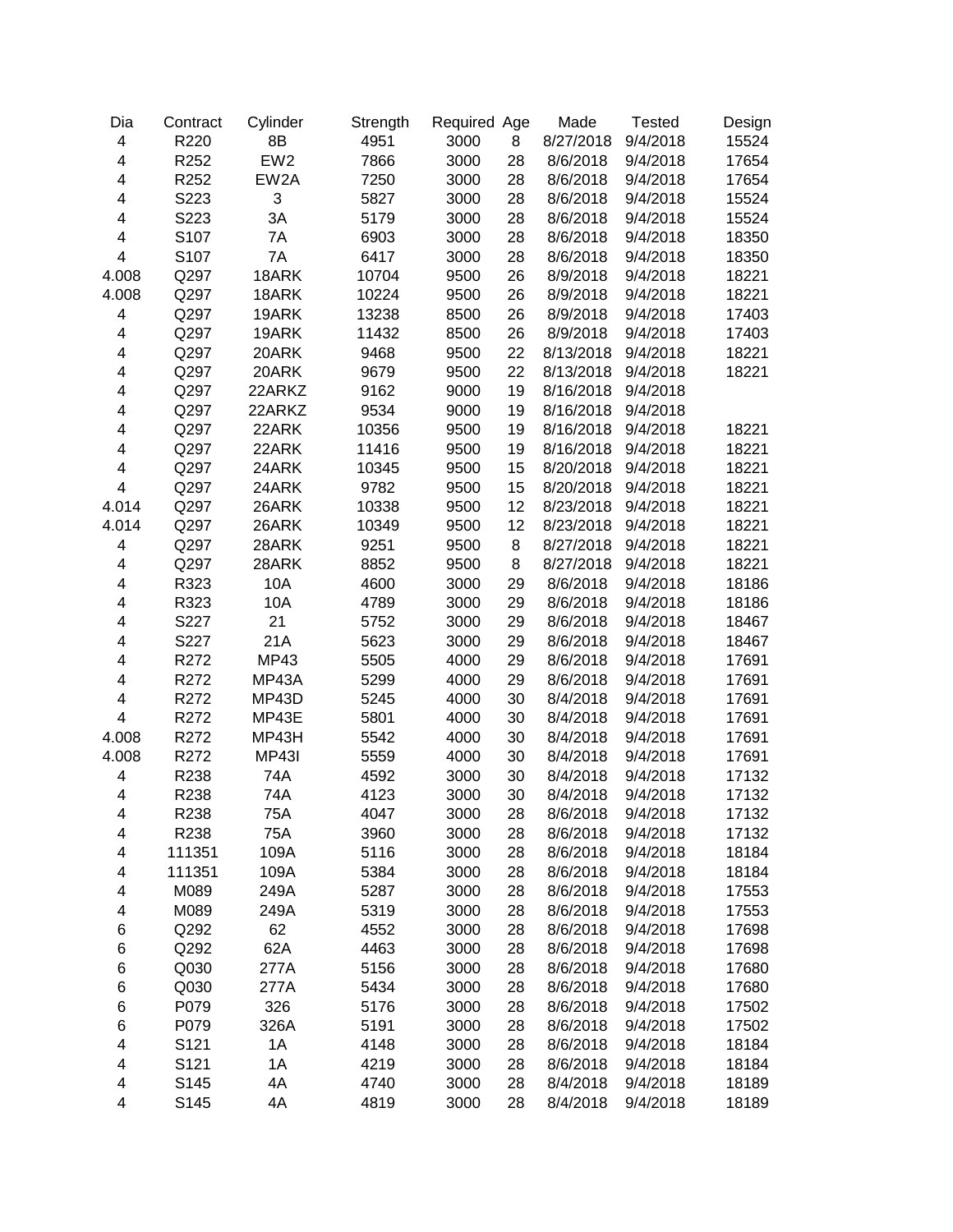| Dia                     | Contract | Cylinder        | Strength | Required Age |          | Made      | <b>Tested</b> | Design |
|-------------------------|----------|-----------------|----------|--------------|----------|-----------|---------------|--------|
| $\overline{\mathbf{4}}$ | R220     | 8B              | 4951     | 3000         | 8        | 8/27/2018 | 9/4/2018      | 15524  |
| $\overline{\mathbf{4}}$ | R252     | EW <sub>2</sub> | 7866     | 3000         | 28       | 8/6/2018  | 9/4/2018      | 17654  |
| $\overline{\mathbf{4}}$ | R252     | EW2A            | 7250     | 3000         | 28       | 8/6/2018  | 9/4/2018      | 17654  |
| 4                       | S223     | 3               | 5827     | 3000         | 28       | 8/6/2018  | 9/4/2018      | 15524  |
| 4                       | S223     | 3A              | 5179     | 3000         | 28       | 8/6/2018  | 9/4/2018      | 15524  |
| 4                       | S107     | 7A              | 6903     | 3000         | 28       | 8/6/2018  | 9/4/2018      | 18350  |
| $\overline{\mathbf{4}}$ | S107     | 7A              | 6417     | 3000         | 28       | 8/6/2018  | 9/4/2018      | 18350  |
| 4.008                   | Q297     | 18ARK           | 10704    | 9500         | 26       | 8/9/2018  | 9/4/2018      | 18221  |
| 4.008                   | Q297     | 18ARK           | 10224    | 9500         | 26       | 8/9/2018  | 9/4/2018      | 18221  |
| $\overline{\mathbf{4}}$ | Q297     | 19ARK           | 13238    | 8500         | 26       | 8/9/2018  | 9/4/2018      | 17403  |
| $\overline{\mathbf{4}}$ | Q297     | 19ARK           | 11432    | 8500         | 26       | 8/9/2018  | 9/4/2018      | 17403  |
| 4                       | Q297     | 20ARK           | 9468     | 9500         | 22       | 8/13/2018 | 9/4/2018      | 18221  |
| 4                       | Q297     | 20ARK           | 9679     | 9500         | 22       | 8/13/2018 | 9/4/2018      | 18221  |
| 4                       | Q297     | 22ARKZ          | 9162     | 9000         | 19       | 8/16/2018 | 9/4/2018      |        |
| 4                       | Q297     | 22ARKZ          | 9534     | 9000         | 19       | 8/16/2018 | 9/4/2018      |        |
| $\overline{\mathbf{4}}$ | Q297     | 22ARK           | 10356    | 9500         | 19       | 8/16/2018 | 9/4/2018      | 18221  |
| $\overline{\mathbf{4}}$ | Q297     | 22ARK           | 11416    | 9500         | 19       | 8/16/2018 | 9/4/2018      | 18221  |
| $\overline{\mathbf{4}}$ | Q297     | 24ARK           | 10345    | 9500         | 15       | 8/20/2018 | 9/4/2018      | 18221  |
| $\overline{\mathbf{4}}$ | Q297     | 24ARK           | 9782     | 9500         | 15       | 8/20/2018 | 9/4/2018      | 18221  |
| 4.014                   | Q297     | 26ARK           | 10338    | 9500         | 12       | 8/23/2018 | 9/4/2018      | 18221  |
| 4.014                   | Q297     | 26ARK           | 10349    | 9500         | 12       | 8/23/2018 | 9/4/2018      | 18221  |
| 4                       | Q297     | 28ARK           | 9251     | 9500         | 8        | 8/27/2018 | 9/4/2018      | 18221  |
| 4                       | Q297     | 28ARK           | 8852     | 9500         | 8        | 8/27/2018 | 9/4/2018      | 18221  |
| 4                       | R323     | 10A             | 4600     | 3000         | 29       | 8/6/2018  | 9/4/2018      | 18186  |
| 4                       | R323     | 10A             | 4789     | 3000         | 29       | 8/6/2018  | 9/4/2018      | 18186  |
| 4                       | S227     | 21              | 5752     | 3000         | 29       | 8/6/2018  | 9/4/2018      | 18467  |
| 4                       | S227     | 21A             | 5623     | 3000         | 29       | 8/6/2018  | 9/4/2018      | 18467  |
| 4                       | R272     | MP43            | 5505     | 4000         | 29       | 8/6/2018  | 9/4/2018      | 17691  |
| 4                       | R272     | MP43A           | 5299     | 4000         | 29       | 8/6/2018  | 9/4/2018      | 17691  |
| 4                       | R272     | MP43D           | 5245     | 4000         | 30       | 8/4/2018  | 9/4/2018      | 17691  |
| $\overline{\mathbf{4}}$ | R272     | MP43E           | 5801     | 4000         | 30       | 8/4/2018  | 9/4/2018      | 17691  |
| 4.008                   | R272     | MP43H           | 5542     | 4000         | 30       | 8/4/2018  | 9/4/2018      | 17691  |
| 4.008                   | R272     | <b>MP43I</b>    | 5559     | 4000         | 30       | 8/4/2018  | 9/4/2018      | 17691  |
| 4                       | R238     | 74A             | 4592     | 3000         | 30       | 8/4/2018  | 9/4/2018      | 17132  |
| $\overline{\mathbf{4}}$ | R238     | 74A             | 4123     | 3000         | 30       | 8/4/2018  | 9/4/2018      | 17132  |
| 4                       | R238     | 75A             | 4047     | 3000         | 28       | 8/6/2018  | 9/4/2018      | 17132  |
| 4                       | R238     | 75A             | 3960     | 3000         | 28       | 8/6/2018  | 9/4/2018      | 17132  |
| 4                       | 111351   | 109A            | 5116     | 3000         | 28       | 8/6/2018  | 9/4/2018      | 18184  |
| 4                       | 111351   | 109A            | 5384     | 3000         | 28       | 8/6/2018  | 9/4/2018      | 18184  |
| 4                       | M089     | 249A            | 5287     | 3000         | 28       | 8/6/2018  | 9/4/2018      | 17553  |
| 4                       | M089     | 249A            | 5319     | 3000         | 28       | 8/6/2018  | 9/4/2018      | 17553  |
| 6                       | Q292     | 62              | 4552     | 3000         | 28       | 8/6/2018  | 9/4/2018      | 17698  |
| 6                       | Q292     | 62A             | 4463     | 3000         | 28       | 8/6/2018  | 9/4/2018      | 17698  |
| 6                       | Q030     | 277A            | 5156     | 3000         | 28       | 8/6/2018  | 9/4/2018      | 17680  |
| 6                       | Q030     | 277A            | 5434     | 3000         | 28       | 8/6/2018  | 9/4/2018      | 17680  |
| 6                       | P079     | 326             | 5176     | 3000         | 28       | 8/6/2018  | 9/4/2018      | 17502  |
| 6                       | P079     | 326A            | 5191     | 3000         | 28       | 8/6/2018  | 9/4/2018      | 17502  |
| $\overline{\mathbf{4}}$ | S121     | 1A              | 4148     | 3000         | 28       | 8/6/2018  | 9/4/2018      | 18184  |
| $\overline{\mathbf{4}}$ | S121     | 1A              | 4219     | 3000         |          | 8/6/2018  | 9/4/2018      | 18184  |
| $\overline{\mathbf{4}}$ | S145     | 4A              | 4740     | 3000         | 28<br>28 | 8/4/2018  | 9/4/2018      | 18189  |
| $\overline{\mathbf{4}}$ | S145     |                 |          | 3000         |          |           |               |        |
|                         |          | 4A              | 4819     |              | 28       | 8/4/2018  | 9/4/2018      | 18189  |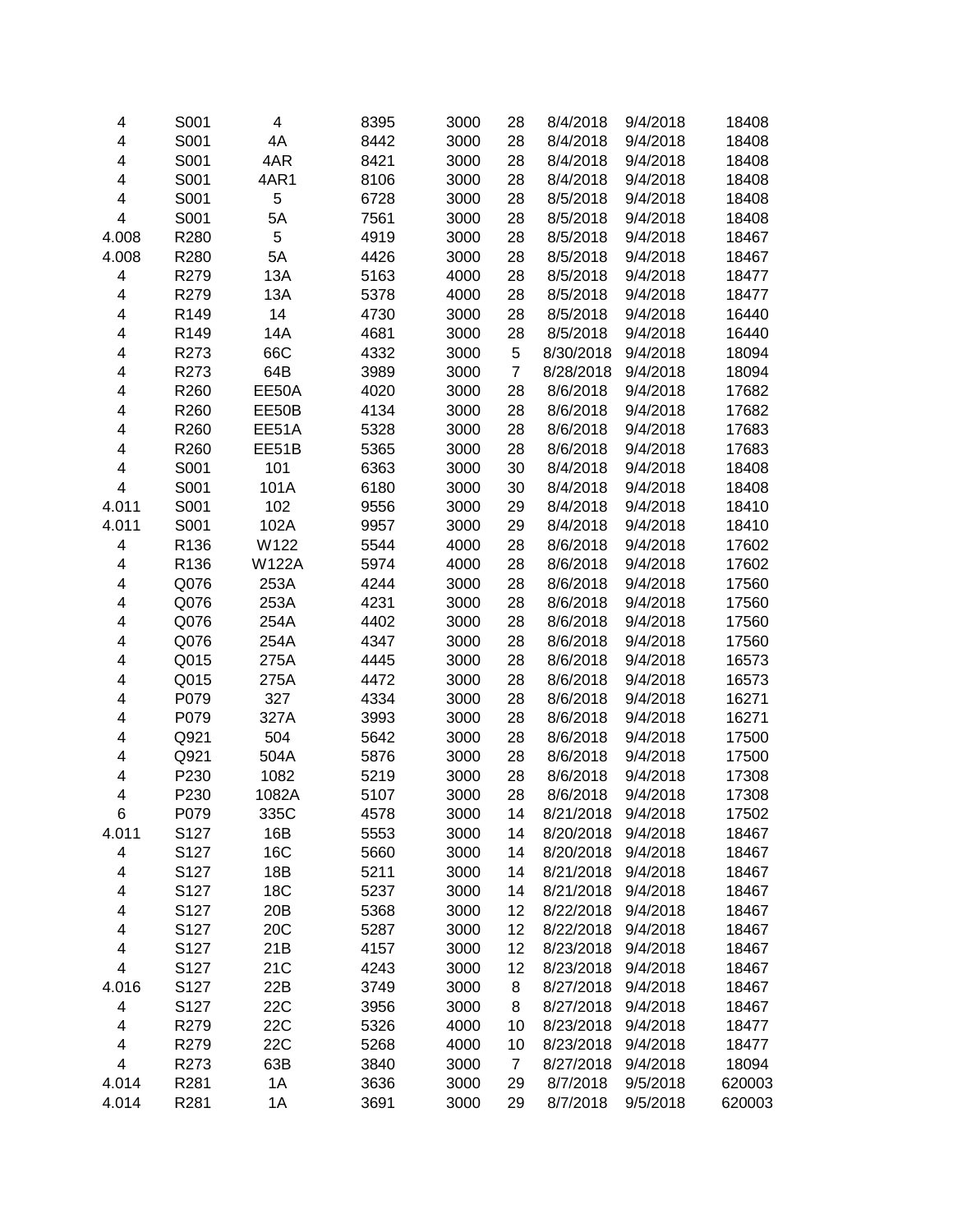| 4                       | S001 | 4            | 8395 | 3000 | 28             | 8/4/2018  | 9/4/2018 | 18408  |
|-------------------------|------|--------------|------|------|----------------|-----------|----------|--------|
| 4                       | S001 | 4A           | 8442 | 3000 | 28             | 8/4/2018  | 9/4/2018 | 18408  |
| 4                       | S001 | 4AR          | 8421 | 3000 | 28             | 8/4/2018  | 9/4/2018 | 18408  |
| 4                       | S001 | 4AR1         | 8106 | 3000 | 28             | 8/4/2018  | 9/4/2018 | 18408  |
| 4                       | S001 | 5            | 6728 | 3000 | 28             | 8/5/2018  | 9/4/2018 | 18408  |
| 4                       | S001 | 5A           | 7561 | 3000 | 28             | 8/5/2018  | 9/4/2018 | 18408  |
| 4.008                   | R280 | 5            | 4919 | 3000 | 28             | 8/5/2018  | 9/4/2018 | 18467  |
| 4.008                   | R280 | 5A           | 4426 | 3000 | 28             | 8/5/2018  | 9/4/2018 | 18467  |
| 4                       | R279 | 13A          | 5163 | 4000 | 28             | 8/5/2018  | 9/4/2018 | 18477  |
| 4                       | R279 | 13A          | 5378 | 4000 | 28             | 8/5/2018  | 9/4/2018 | 18477  |
| 4                       | R149 | 14           | 4730 | 3000 | 28             | 8/5/2018  | 9/4/2018 | 16440  |
| 4                       | R149 | 14A          | 4681 | 3000 | 28             | 8/5/2018  | 9/4/2018 | 16440  |
| 4                       | R273 | 66C          | 4332 | 3000 | 5              | 8/30/2018 | 9/4/2018 | 18094  |
| 4                       | R273 | 64B          | 3989 | 3000 | $\overline{7}$ | 8/28/2018 | 9/4/2018 | 18094  |
| 4                       | R260 | EE50A        | 4020 | 3000 | 28             | 8/6/2018  | 9/4/2018 | 17682  |
| 4                       | R260 | EE50B        | 4134 | 3000 | 28             | 8/6/2018  | 9/4/2018 | 17682  |
| 4                       | R260 | EE51A        | 5328 | 3000 | 28             | 8/6/2018  | 9/4/2018 | 17683  |
| 4                       | R260 | EE51B        | 5365 | 3000 | 28             | 8/6/2018  | 9/4/2018 | 17683  |
| 4                       | S001 | 101          | 6363 | 3000 | 30             | 8/4/2018  | 9/4/2018 | 18408  |
| $\overline{\mathbf{4}}$ | S001 | 101A         | 6180 | 3000 | 30             | 8/4/2018  | 9/4/2018 | 18408  |
| 4.011                   | S001 | 102          | 9556 | 3000 | 29             | 8/4/2018  | 9/4/2018 | 18410  |
| 4.011                   | S001 | 102A         | 9957 | 3000 | 29             | 8/4/2018  | 9/4/2018 | 18410  |
| 4                       | R136 | W122         | 5544 | 4000 | 28             | 8/6/2018  | 9/4/2018 | 17602  |
| 4                       | R136 | <b>W122A</b> | 5974 | 4000 | 28             | 8/6/2018  | 9/4/2018 | 17602  |
| 4                       | Q076 | 253A         | 4244 | 3000 | 28             | 8/6/2018  | 9/4/2018 | 17560  |
| 4                       | Q076 | 253A         | 4231 | 3000 | 28             | 8/6/2018  | 9/4/2018 | 17560  |
| 4                       | Q076 | 254A         | 4402 | 3000 | 28             | 8/6/2018  | 9/4/2018 | 17560  |
| 4                       | Q076 | 254A         | 4347 | 3000 | 28             | 8/6/2018  | 9/4/2018 | 17560  |
| 4                       | Q015 | 275A         | 4445 | 3000 | 28             | 8/6/2018  | 9/4/2018 | 16573  |
| 4                       | Q015 | 275A         | 4472 | 3000 | 28             | 8/6/2018  | 9/4/2018 | 16573  |
| 4                       | P079 | 327          | 4334 | 3000 | 28             | 8/6/2018  | 9/4/2018 | 16271  |
| 4                       | P079 | 327A         | 3993 | 3000 | 28             | 8/6/2018  | 9/4/2018 | 16271  |
| 4                       | Q921 | 504          | 5642 | 3000 | 28             | 8/6/2018  | 9/4/2018 | 17500  |
| 4                       | Q921 | 504A         | 5876 | 3000 | 28             | 8/6/2018  | 9/4/2018 | 17500  |
| 4                       | P230 | 1082         | 5219 | 3000 | 28             | 8/6/2018  | 9/4/2018 | 17308  |
| 4                       | P230 | 1082A        | 5107 | 3000 | 28             | 8/6/2018  | 9/4/2018 | 17308  |
| 6                       | P079 | 335C         | 4578 | 3000 | 14             | 8/21/2018 | 9/4/2018 | 17502  |
| 4.011                   | S127 | 16B          | 5553 | 3000 | 14             | 8/20/2018 | 9/4/2018 | 18467  |
| 4                       | S127 | <b>16C</b>   | 5660 | 3000 | 14             | 8/20/2018 | 9/4/2018 | 18467  |
| 4                       | S127 | 18B          | 5211 | 3000 | 14             | 8/21/2018 | 9/4/2018 | 18467  |
| 4                       | S127 | 18C          | 5237 | 3000 | 14             | 8/21/2018 | 9/4/2018 | 18467  |
| 4                       | S127 | 20B          | 5368 | 3000 | 12             | 8/22/2018 | 9/4/2018 | 18467  |
| 4                       | S127 | 20C          | 5287 | 3000 | 12             | 8/22/2018 | 9/4/2018 | 18467  |
| 4                       | S127 | 21B          | 4157 | 3000 | 12             | 8/23/2018 | 9/4/2018 | 18467  |
| 4                       | S127 | 21C          | 4243 | 3000 | 12             | 8/23/2018 | 9/4/2018 | 18467  |
| 4.016                   | S127 | 22B          | 3749 | 3000 | 8              | 8/27/2018 | 9/4/2018 | 18467  |
| 4                       | S127 | <b>22C</b>   | 3956 | 3000 | 8              | 8/27/2018 | 9/4/2018 | 18467  |
| 4                       | R279 | 22C          | 5326 | 4000 | 10             | 8/23/2018 | 9/4/2018 | 18477  |
| 4                       | R279 | 22C          | 5268 | 4000 | 10             | 8/23/2018 | 9/4/2018 | 18477  |
| $\overline{\mathbf{4}}$ | R273 | 63B          | 3840 | 3000 | $\overline{7}$ | 8/27/2018 | 9/4/2018 | 18094  |
| 4.014                   | R281 | 1A           | 3636 | 3000 | 29             | 8/7/2018  | 9/5/2018 | 620003 |
| 4.014                   | R281 | 1A           | 3691 | 3000 | 29             | 8/7/2018  | 9/5/2018 | 620003 |
|                         |      |              |      |      |                |           |          |        |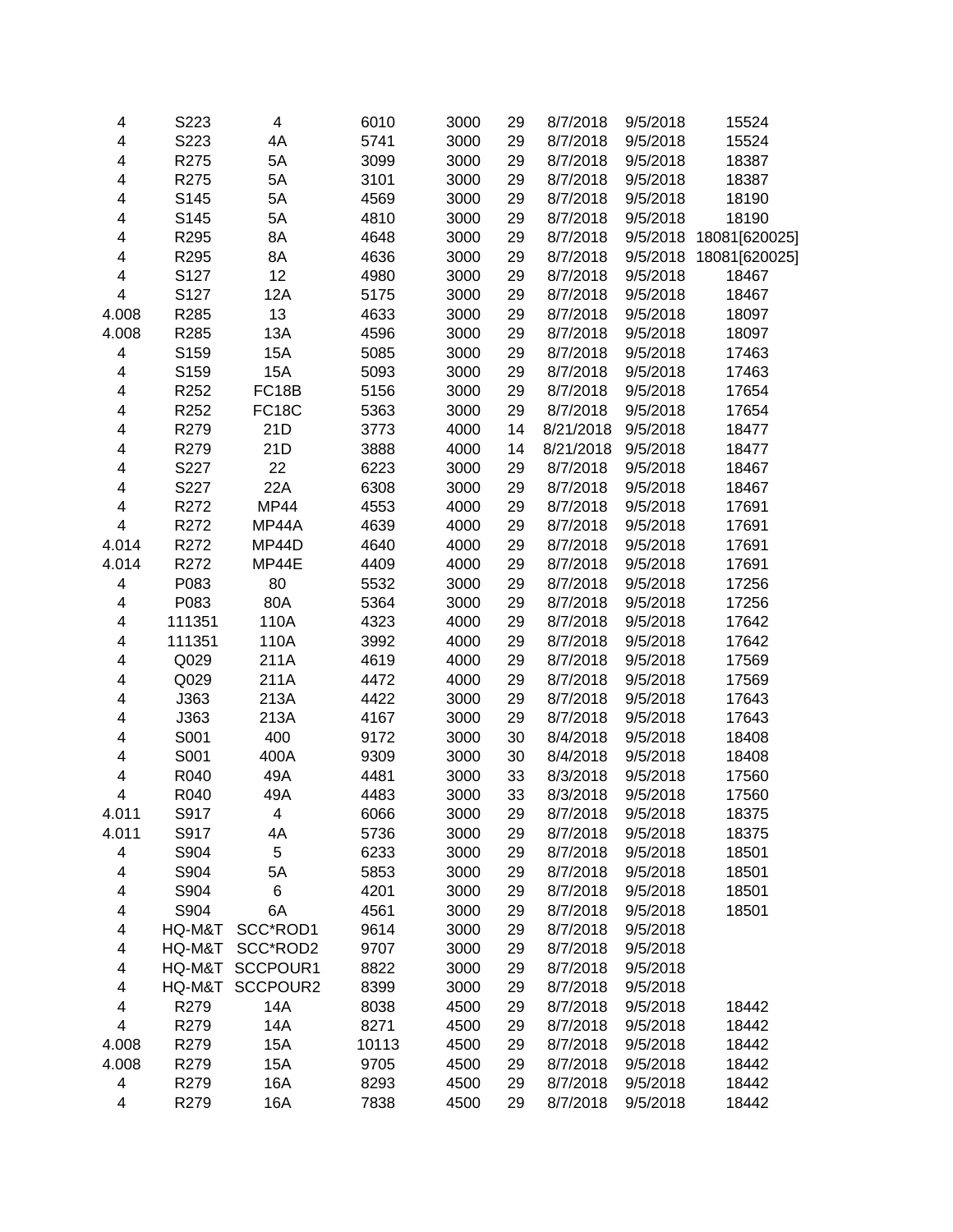| 4                       | S223   | $\overline{\mathbf{4}}$ | 6010  | 3000 | 29 | 8/7/2018  | 9/5/2018 | 15524         |
|-------------------------|--------|-------------------------|-------|------|----|-----------|----------|---------------|
| 4                       | S223   | 4A                      | 5741  | 3000 | 29 | 8/7/2018  | 9/5/2018 | 15524         |
| $\overline{\mathbf{4}}$ | R275   | 5A                      | 3099  | 3000 | 29 | 8/7/2018  | 9/5/2018 | 18387         |
| $\overline{\mathbf{4}}$ | R275   | 5A                      | 3101  | 3000 | 29 | 8/7/2018  | 9/5/2018 | 18387         |
| 4                       | S145   | 5A                      | 4569  | 3000 | 29 | 8/7/2018  | 9/5/2018 | 18190         |
| 4                       | S145   | 5A                      | 4810  | 3000 | 29 | 8/7/2018  | 9/5/2018 | 18190         |
| 4                       | R295   | 8A                      | 4648  | 3000 | 29 | 8/7/2018  | 9/5/2018 | 18081[620025] |
| 4                       | R295   | 8A                      | 4636  | 3000 | 29 | 8/7/2018  | 9/5/2018 | 18081[620025] |
| 4                       | S127   | 12                      | 4980  | 3000 | 29 | 8/7/2018  | 9/5/2018 | 18467         |
| $\overline{\mathbf{4}}$ | S127   | 12A                     | 5175  | 3000 | 29 | 8/7/2018  | 9/5/2018 | 18467         |
| 4.008                   | R285   | 13                      | 4633  | 3000 | 29 | 8/7/2018  | 9/5/2018 | 18097         |
| 4.008                   | R285   | 13A                     | 4596  | 3000 | 29 | 8/7/2018  | 9/5/2018 | 18097         |
| 4                       | S159   | <b>15A</b>              | 5085  | 3000 | 29 | 8/7/2018  | 9/5/2018 | 17463         |
| 4                       | S159   | <b>15A</b>              | 5093  | 3000 | 29 | 8/7/2018  | 9/5/2018 | 17463         |
| 4                       | R252   | FC18B                   | 5156  | 3000 | 29 | 8/7/2018  | 9/5/2018 | 17654         |
| 4                       | R252   | <b>FC18C</b>            | 5363  | 3000 | 29 | 8/7/2018  | 9/5/2018 | 17654         |
| 4                       | R279   | 21D                     | 3773  | 4000 | 14 | 8/21/2018 | 9/5/2018 | 18477         |
| 4                       | R279   | 21D                     | 3888  | 4000 | 14 | 8/21/2018 | 9/5/2018 | 18477         |
| 4                       | S227   | 22                      | 6223  | 3000 | 29 | 8/7/2018  | 9/5/2018 | 18467         |
| 4                       | S227   | 22A                     | 6308  | 3000 | 29 | 8/7/2018  | 9/5/2018 | 18467         |
| $\overline{\mathbf{4}}$ | R272   | <b>MP44</b>             | 4553  | 4000 | 29 | 8/7/2018  | 9/5/2018 | 17691         |
| $\overline{\mathbf{4}}$ | R272   | MP44A                   | 4639  | 4000 | 29 | 8/7/2018  | 9/5/2018 | 17691         |
| 4.014                   | R272   | MP44D                   | 4640  | 4000 | 29 | 8/7/2018  | 9/5/2018 | 17691         |
| 4.014                   | R272   | MP44E                   | 4409  | 4000 | 29 | 8/7/2018  | 9/5/2018 | 17691         |
| $\overline{\mathbf{4}}$ | P083   | 80                      | 5532  | 3000 | 29 | 8/7/2018  | 9/5/2018 | 17256         |
| 4                       | P083   | 80A                     | 5364  | 3000 | 29 | 8/7/2018  | 9/5/2018 | 17256         |
| 4                       | 111351 | 110A                    | 4323  | 4000 | 29 | 8/7/2018  | 9/5/2018 | 17642         |
| 4                       | 111351 | 110A                    | 3992  | 4000 | 29 | 8/7/2018  | 9/5/2018 | 17642         |
| 4                       | Q029   | 211A                    | 4619  | 4000 | 29 | 8/7/2018  | 9/5/2018 | 17569         |
| 4                       | Q029   | 211A                    | 4472  | 4000 | 29 | 8/7/2018  | 9/5/2018 | 17569         |
| 4                       | J363   | 213A                    | 4422  | 3000 | 29 | 8/7/2018  | 9/5/2018 | 17643         |
| 4                       | J363   | 213A                    | 4167  | 3000 | 29 | 8/7/2018  | 9/5/2018 | 17643         |
| $\overline{\mathbf{4}}$ | S001   | 400                     | 9172  | 3000 | 30 | 8/4/2018  | 9/5/2018 | 18408         |
| 4                       | S001   | 400A                    | 9309  | 3000 | 30 | 8/4/2018  | 9/5/2018 | 18408         |
| 4                       | R040   | 49A                     | 4481  | 3000 | 33 | 8/3/2018  | 9/5/2018 | 17560         |
| $\overline{\mathbf{4}}$ | R040   | 49A                     | 4483  | 3000 | 33 | 8/3/2018  | 9/5/2018 | 17560         |
| 4.011                   | S917   | 4                       | 6066  | 3000 | 29 | 8/7/2018  | 9/5/2018 | 18375         |
| 4.011                   | S917   | 4A                      | 5736  | 3000 | 29 | 8/7/2018  | 9/5/2018 | 18375         |
| 4                       | S904   | 5                       | 6233  | 3000 | 29 | 8/7/2018  | 9/5/2018 | 18501         |
| 4                       | S904   | 5A                      | 5853  | 3000 | 29 | 8/7/2018  | 9/5/2018 | 18501         |
| 4                       | S904   | 6                       | 4201  | 3000 | 29 | 8/7/2018  | 9/5/2018 | 18501         |
| 4                       | S904   | 6A                      | 4561  | 3000 | 29 | 8/7/2018  | 9/5/2018 | 18501         |
| 4                       | HQ-M&T | SCC*ROD1                | 9614  | 3000 | 29 | 8/7/2018  | 9/5/2018 |               |
| 4                       | HQ-M&T | SCC*ROD2                | 9707  | 3000 | 29 | 8/7/2018  | 9/5/2018 |               |
| 4                       | HQ-M&T | SCCPOUR1                | 8822  | 3000 | 29 | 8/7/2018  | 9/5/2018 |               |
| 4                       | HQ-M&T | SCCPOUR2                | 8399  | 3000 | 29 | 8/7/2018  | 9/5/2018 |               |
| 4                       | R279   | 14A                     | 8038  | 4500 | 29 | 8/7/2018  | 9/5/2018 | 18442         |
| $\overline{\mathbf{4}}$ | R279   | 14A                     | 8271  | 4500 | 29 | 8/7/2018  | 9/5/2018 | 18442         |
| 4.008                   | R279   | 15A                     | 10113 | 4500 | 29 | 8/7/2018  | 9/5/2018 | 18442         |
| 4.008                   | R279   | 15A                     | 9705  | 4500 | 29 | 8/7/2018  | 9/5/2018 | 18442         |
| $\overline{\mathbf{4}}$ | R279   | 16A                     | 8293  | 4500 | 29 | 8/7/2018  | 9/5/2018 | 18442         |
| 4                       | R279   | 16A                     | 7838  | 4500 | 29 | 8/7/2018  | 9/5/2018 | 18442         |
|                         |        |                         |       |      |    |           |          |               |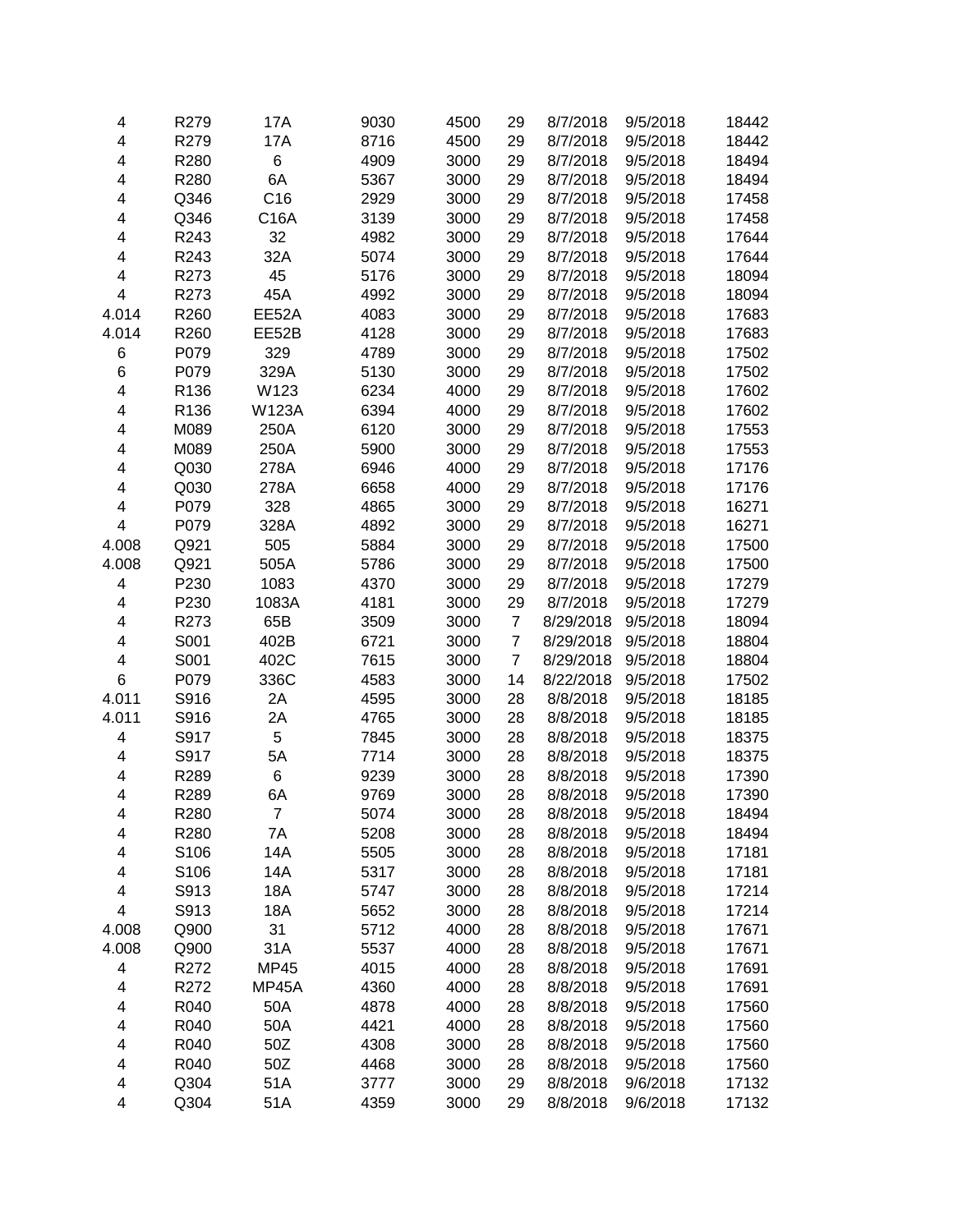| 4                       | R279             | 17A          | 9030 | 4500 | 29             | 8/7/2018  | 9/5/2018 | 18442 |
|-------------------------|------------------|--------------|------|------|----------------|-----------|----------|-------|
| 4                       | R279             | 17A          | 8716 | 4500 | 29             | 8/7/2018  | 9/5/2018 | 18442 |
| $\overline{\mathbf{4}}$ | R280             | 6            | 4909 | 3000 | 29             | 8/7/2018  | 9/5/2018 | 18494 |
| 4                       | R280             | 6A           | 5367 | 3000 | 29             | 8/7/2018  | 9/5/2018 | 18494 |
| 4                       | Q346             | C16          | 2929 | 3000 | 29             | 8/7/2018  | 9/5/2018 | 17458 |
| 4                       | Q346             | C16A         | 3139 | 3000 | 29             | 8/7/2018  | 9/5/2018 | 17458 |
| 4                       | R243             | 32           | 4982 | 3000 | 29             | 8/7/2018  | 9/5/2018 | 17644 |
| 4                       | R243             | 32A          | 5074 | 3000 | 29             | 8/7/2018  | 9/5/2018 | 17644 |
| $\overline{\mathbf{4}}$ | R273             | 45           | 5176 | 3000 | 29             | 8/7/2018  | 9/5/2018 | 18094 |
| $\overline{\mathbf{4}}$ | R273             | 45A          | 4992 | 3000 | 29             | 8/7/2018  | 9/5/2018 | 18094 |
| 4.014                   | R260             | EE52A        | 4083 | 3000 | 29             | 8/7/2018  | 9/5/2018 | 17683 |
| 4.014                   | R260             | EE52B        | 4128 | 3000 | 29             | 8/7/2018  | 9/5/2018 | 17683 |
| 6                       | P079             | 329          | 4789 | 3000 | 29             | 8/7/2018  | 9/5/2018 | 17502 |
| 6                       | P079             | 329A         | 5130 | 3000 | 29             | 8/7/2018  | 9/5/2018 | 17502 |
| 4                       | R136             | W123         | 6234 | 4000 | 29             | 8/7/2018  | 9/5/2018 | 17602 |
| $\overline{\mathbf{4}}$ | R136             | <b>W123A</b> | 6394 | 4000 | 29             | 8/7/2018  | 9/5/2018 | 17602 |
| 4                       | M089             | 250A         | 6120 | 3000 | 29             | 8/7/2018  | 9/5/2018 | 17553 |
| 4                       | M089             | 250A         | 5900 | 3000 | 29             | 8/7/2018  | 9/5/2018 | 17553 |
| 4                       | Q030             | 278A         | 6946 | 4000 | 29             | 8/7/2018  | 9/5/2018 | 17176 |
| 4                       | Q030             | 278A         | 6658 | 4000 | 29             | 8/7/2018  | 9/5/2018 | 17176 |
| 4                       | P079             | 328          | 4865 | 3000 | 29             | 8/7/2018  | 9/5/2018 | 16271 |
| 4                       | P079             | 328A         | 4892 | 3000 | 29             | 8/7/2018  | 9/5/2018 | 16271 |
| 4.008                   | Q921             | 505          | 5884 | 3000 | 29             | 8/7/2018  | 9/5/2018 | 17500 |
| 4.008                   | Q921             | 505A         | 5786 | 3000 | 29             | 8/7/2018  | 9/5/2018 | 17500 |
| $\overline{\mathbf{4}}$ | P230             | 1083         | 4370 | 3000 | 29             | 8/7/2018  | 9/5/2018 | 17279 |
| $\overline{\mathbf{4}}$ | P230             | 1083A        | 4181 | 3000 | 29             | 8/7/2018  | 9/5/2018 | 17279 |
| 4                       | R273             | 65B          | 3509 | 3000 | $\overline{7}$ | 8/29/2018 | 9/5/2018 | 18094 |
| 4                       | S001             | 402B         | 6721 | 3000 | $\overline{7}$ | 8/29/2018 | 9/5/2018 | 18804 |
| 4                       | S001             | 402C         | 7615 | 3000 | $\overline{7}$ | 8/29/2018 | 9/5/2018 | 18804 |
| $\,6$                   | P079             | 336C         | 4583 | 3000 | 14             | 8/22/2018 | 9/5/2018 | 17502 |
| 4.011                   | S916             | 2A           | 4595 | 3000 | 28             | 8/8/2018  | 9/5/2018 | 18185 |
| 4.011                   | S916             | 2A           | 4765 | 3000 | 28             | 8/8/2018  | 9/5/2018 | 18185 |
| $\overline{\mathbf{4}}$ | S917             | 5            | 7845 | 3000 | 28             | 8/8/2018  | 9/5/2018 | 18375 |
| $\overline{\mathbf{4}}$ | S917             | 5A           | 7714 | 3000 | 28             | 8/8/2018  | 9/5/2018 | 18375 |
| 4                       | R289             | 6            | 9239 | 3000 | 28             | 8/8/2018  | 9/5/2018 | 17390 |
| $\overline{\mathbf{4}}$ | R289             | 6A           | 9769 | 3000 | 28             | 8/8/2018  | 9/5/2018 | 17390 |
| 4                       | R <sub>280</sub> | 7            | 5074 | 3000 | 28             | 8/8/2018  | 9/5/2018 | 18494 |
| 4                       | R280             | 7A           | 5208 | 3000 | 28             | 8/8/2018  | 9/5/2018 | 18494 |
| 4                       | S106             | 14A          | 5505 | 3000 | 28             | 8/8/2018  | 9/5/2018 | 17181 |
| 4                       | S106             | 14A          | 5317 | 3000 | 28             | 8/8/2018  | 9/5/2018 | 17181 |
| 4                       | S913             | 18A          | 5747 | 3000 | 28             | 8/8/2018  | 9/5/2018 | 17214 |
| 4                       | S913             | <b>18A</b>   | 5652 | 3000 | 28             | 8/8/2018  | 9/5/2018 | 17214 |
| 4.008                   | Q900             | 31           | 5712 | 4000 | 28             | 8/8/2018  | 9/5/2018 | 17671 |
| 4.008                   | Q900             | 31A          | 5537 | 4000 | 28             | 8/8/2018  | 9/5/2018 | 17671 |
| 4                       | R272             | <b>MP45</b>  | 4015 | 4000 | 28             | 8/8/2018  | 9/5/2018 | 17691 |
| 4                       | R272             | MP45A        | 4360 | 4000 | 28             | 8/8/2018  | 9/5/2018 | 17691 |
| 4                       | R040             | 50A          | 4878 | 4000 | 28             | 8/8/2018  | 9/5/2018 | 17560 |
| $\overline{\mathbf{4}}$ | R040             | 50A          | 4421 | 4000 | 28             | 8/8/2018  | 9/5/2018 | 17560 |
| 4                       | R040             | 50Z          | 4308 | 3000 | 28             | 8/8/2018  | 9/5/2018 | 17560 |
| $\overline{\mathbf{4}}$ | R040             | 50Z          | 4468 | 3000 | 28             | 8/8/2018  | 9/5/2018 | 17560 |
| 4                       | Q304             | 51A          | 3777 | 3000 | 29             | 8/8/2018  | 9/6/2018 | 17132 |
| 4                       | Q304             | 51A          | 4359 | 3000 | 29             | 8/8/2018  | 9/6/2018 | 17132 |
|                         |                  |              |      |      |                |           |          |       |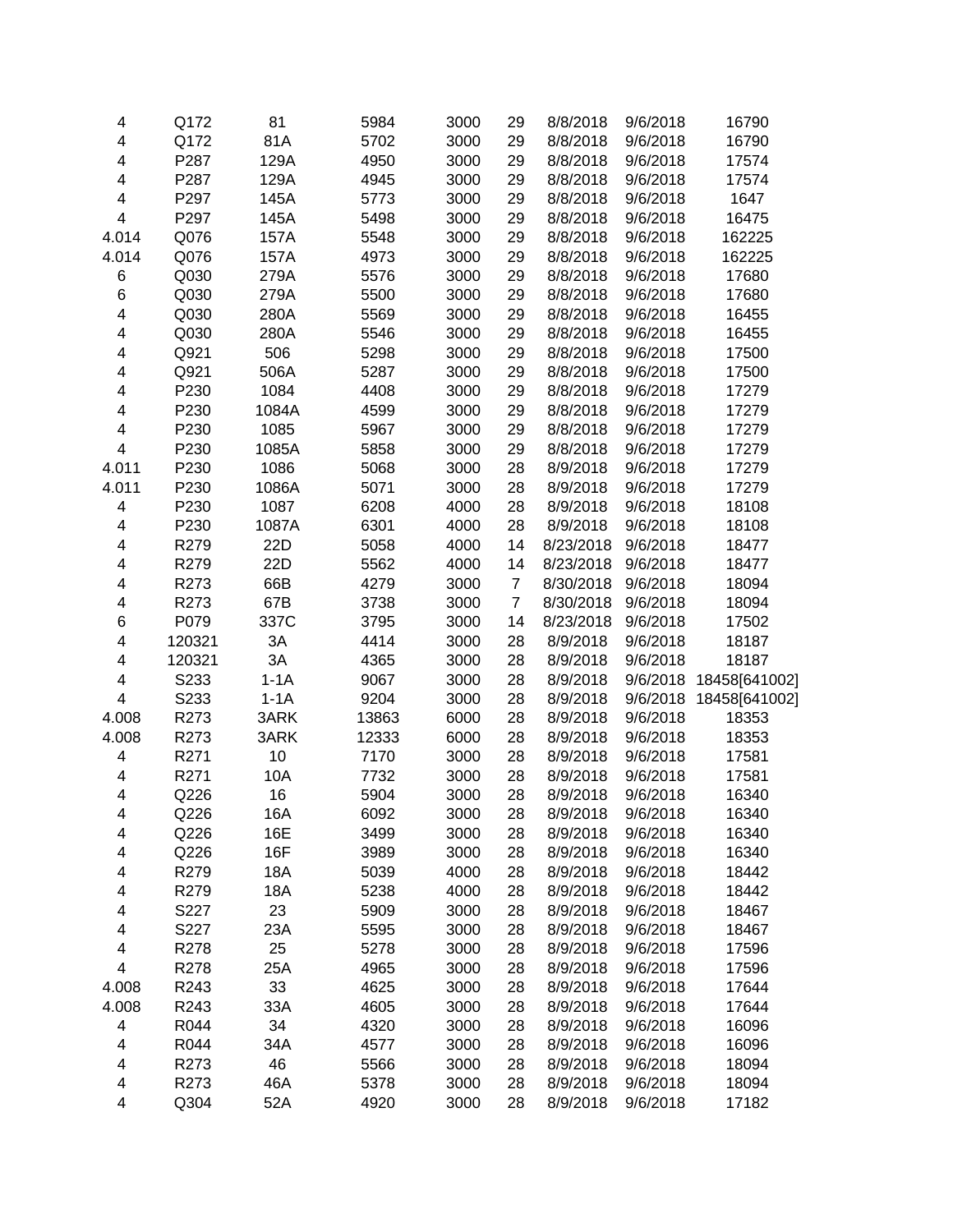| 4                       | Q172   | 81     | 5984  | 3000 | 29             | 8/8/2018  | 9/6/2018 | 16790         |
|-------------------------|--------|--------|-------|------|----------------|-----------|----------|---------------|
| 4                       | Q172   | 81A    | 5702  | 3000 | 29             | 8/8/2018  | 9/6/2018 | 16790         |
| 4                       | P287   | 129A   | 4950  | 3000 | 29             | 8/8/2018  | 9/6/2018 | 17574         |
| 4                       | P287   | 129A   | 4945  | 3000 | 29             | 8/8/2018  | 9/6/2018 | 17574         |
| 4                       | P297   | 145A   | 5773  | 3000 | 29             | 8/8/2018  | 9/6/2018 | 1647          |
| 4                       | P297   | 145A   | 5498  | 3000 | 29             | 8/8/2018  | 9/6/2018 | 16475         |
| 4.014                   | Q076   | 157A   | 5548  | 3000 | 29             | 8/8/2018  | 9/6/2018 | 162225        |
| 4.014                   | Q076   | 157A   | 4973  | 3000 | 29             | 8/8/2018  | 9/6/2018 | 162225        |
| 6                       | Q030   | 279A   | 5576  | 3000 | 29             | 8/8/2018  | 9/6/2018 | 17680         |
| 6                       | Q030   | 279A   | 5500  | 3000 | 29             | 8/8/2018  | 9/6/2018 | 17680         |
| 4                       | Q030   | 280A   | 5569  | 3000 | 29             | 8/8/2018  | 9/6/2018 | 16455         |
| 4                       | Q030   | 280A   | 5546  | 3000 | 29             | 8/8/2018  | 9/6/2018 | 16455         |
| 4                       | Q921   | 506    | 5298  | 3000 | 29             | 8/8/2018  | 9/6/2018 | 17500         |
| 4                       | Q921   | 506A   | 5287  | 3000 | 29             | 8/8/2018  | 9/6/2018 | 17500         |
| 4                       | P230   | 1084   | 4408  | 3000 | 29             | 8/8/2018  | 9/6/2018 | 17279         |
| 4                       | P230   | 1084A  | 4599  | 3000 | 29             | 8/8/2018  | 9/6/2018 | 17279         |
| 4                       | P230   | 1085   | 5967  | 3000 | 29             | 8/8/2018  | 9/6/2018 | 17279         |
| $\overline{\mathbf{4}}$ | P230   | 1085A  | 5858  | 3000 | 29             | 8/8/2018  | 9/6/2018 | 17279         |
| 4.011                   | P230   | 1086   | 5068  | 3000 | 28             | 8/9/2018  | 9/6/2018 | 17279         |
| 4.011                   | P230   | 1086A  | 5071  | 3000 | 28             | 8/9/2018  | 9/6/2018 | 17279         |
| 4                       | P230   | 1087   | 6208  | 4000 | 28             | 8/9/2018  | 9/6/2018 | 18108         |
| 4                       | P230   | 1087A  | 6301  | 4000 | 28             | 8/9/2018  | 9/6/2018 | 18108         |
| 4                       | R279   | 22D    | 5058  | 4000 | 14             | 8/23/2018 | 9/6/2018 | 18477         |
| 4                       | R279   | 22D    | 5562  | 4000 | 14             | 8/23/2018 | 9/6/2018 | 18477         |
| 4                       | R273   | 66B    | 4279  | 3000 | $\overline{7}$ | 8/30/2018 | 9/6/2018 | 18094         |
| 4                       | R273   | 67B    | 3738  | 3000 | $\overline{7}$ | 8/30/2018 | 9/6/2018 | 18094         |
| 6                       | P079   | 337C   | 3795  | 3000 | 14             | 8/23/2018 | 9/6/2018 | 17502         |
| 4                       | 120321 | 3A     | 4414  | 3000 | 28             | 8/9/2018  | 9/6/2018 | 18187         |
| 4                       | 120321 | 3A     | 4365  | 3000 | 28             | 8/9/2018  | 9/6/2018 | 18187         |
| 4                       | S233   | $1-1A$ | 9067  | 3000 | 28             | 8/9/2018  | 9/6/2018 | 18458[641002] |
| $\overline{\mathbf{4}}$ | S233   | $1-1A$ | 9204  | 3000 | 28             | 8/9/2018  | 9/6/2018 | 18458[641002] |
| 4.008                   | R273   | 3ARK   | 13863 | 6000 | 28             | 8/9/2018  | 9/6/2018 | 18353         |
| 4.008                   | R273   | 3ARK   | 12333 | 6000 | 28             | 8/9/2018  | 9/6/2018 | 18353         |
| 4                       | R271   | 10     | 7170  | 3000 | 28             | 8/9/2018  | 9/6/2018 | 17581         |
| 4                       | R271   | 10A    | 7732  | 3000 | 28             | 8/9/2018  | 9/6/2018 | 17581         |
| 4                       | Q226   | 16     | 5904  | 3000 | 28             | 8/9/2018  | 9/6/2018 | 16340         |
| 4                       | Q226   | 16A    | 6092  | 3000 | 28             | 8/9/2018  | 9/6/2018 | 16340         |
| 4                       | Q226   | 16E    | 3499  | 3000 | 28             | 8/9/2018  | 9/6/2018 | 16340         |
| 4                       | Q226   | 16F    | 3989  | 3000 | 28             | 8/9/2018  | 9/6/2018 | 16340         |
| 4                       | R279   | 18A    | 5039  | 4000 | 28             | 8/9/2018  | 9/6/2018 | 18442         |
|                         | R279   | 18A    | 5238  | 4000 | 28             | 8/9/2018  | 9/6/2018 | 18442         |
| 4                       | S227   | 23     | 5909  | 3000 |                | 8/9/2018  |          |               |
| 4                       |        |        |       |      | 28             |           | 9/6/2018 | 18467         |
| 4                       | S227   | 23A    | 5595  | 3000 | 28             | 8/9/2018  | 9/6/2018 | 18467         |
| 4                       | R278   | 25     | 5278  | 3000 | 28             | 8/9/2018  | 9/6/2018 | 17596         |
| 4                       | R278   | 25A    | 4965  | 3000 | 28             | 8/9/2018  | 9/6/2018 | 17596         |
| 4.008                   | R243   | 33     | 4625  | 3000 | 28             | 8/9/2018  | 9/6/2018 | 17644         |
| 4.008                   | R243   | 33A    | 4605  | 3000 | 28             | 8/9/2018  | 9/6/2018 | 17644         |
| 4                       | R044   | 34     | 4320  | 3000 | 28             | 8/9/2018  | 9/6/2018 | 16096         |
| 4                       | R044   | 34A    | 4577  | 3000 | 28             | 8/9/2018  | 9/6/2018 | 16096         |
| 4                       | R273   | 46     | 5566  | 3000 | 28             | 8/9/2018  | 9/6/2018 | 18094         |
| 4                       | R273   | 46A    | 5378  | 3000 | 28             | 8/9/2018  | 9/6/2018 | 18094         |
| 4                       | Q304   | 52A    | 4920  | 3000 | 28             | 8/9/2018  | 9/6/2018 | 17182         |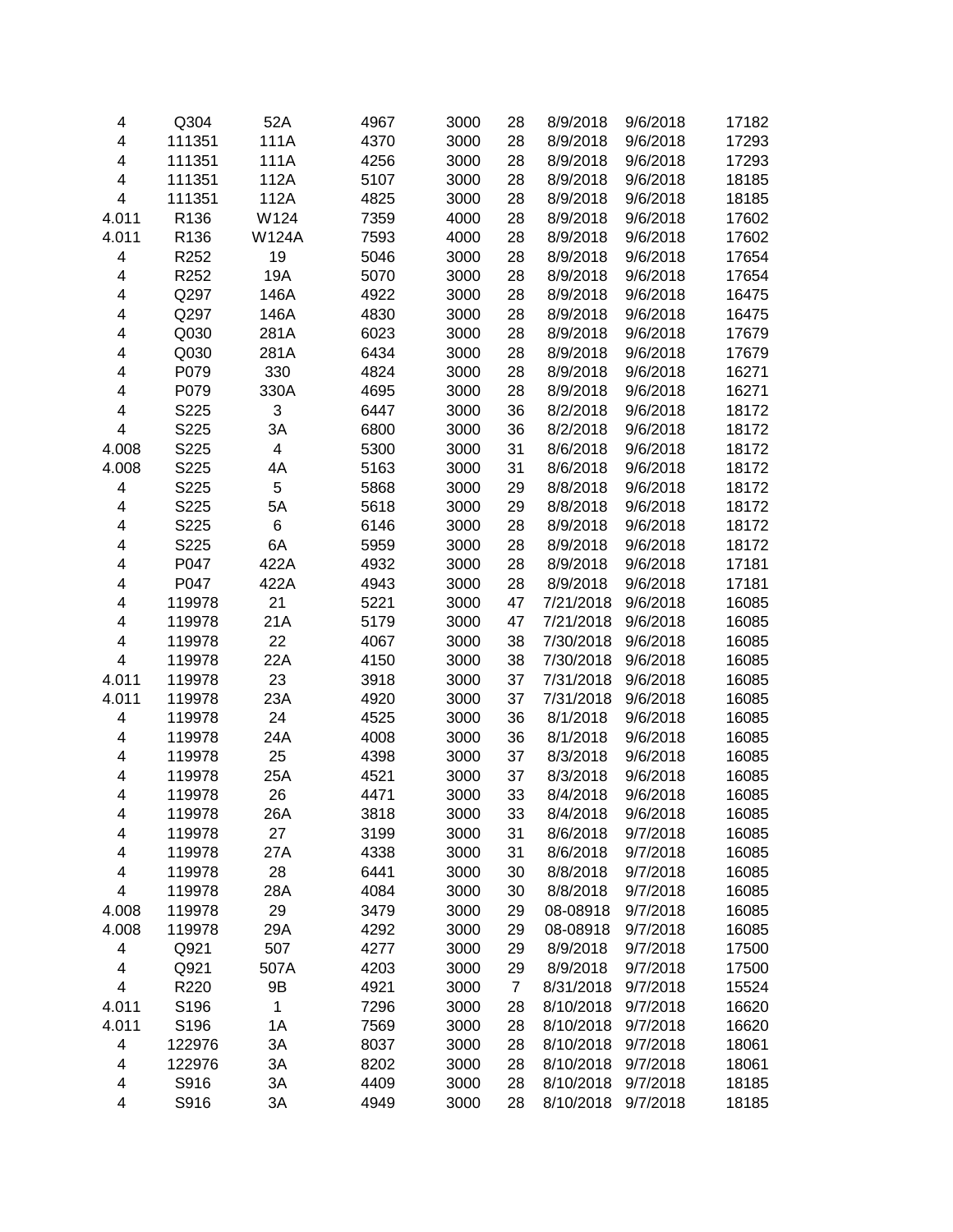| 4                       | Q304   | 52A          | 4967 | 3000 | 28             | 8/9/2018  | 9/6/2018 | 17182 |
|-------------------------|--------|--------------|------|------|----------------|-----------|----------|-------|
| 4                       | 111351 | 111A         | 4370 | 3000 | 28             | 8/9/2018  | 9/6/2018 | 17293 |
| $\overline{\mathbf{4}}$ | 111351 | 111A         | 4256 | 3000 | 28             | 8/9/2018  | 9/6/2018 | 17293 |
| $\overline{\mathbf{4}}$ | 111351 | 112A         | 5107 | 3000 | 28             | 8/9/2018  | 9/6/2018 | 18185 |
| $\overline{\mathbf{4}}$ | 111351 | 112A         | 4825 | 3000 | 28             | 8/9/2018  | 9/6/2018 | 18185 |
| 4.011                   | R136   | W124         | 7359 | 4000 | 28             | 8/9/2018  | 9/6/2018 | 17602 |
| 4.011                   | R136   | <b>W124A</b> | 7593 | 4000 | 28             | 8/9/2018  | 9/6/2018 | 17602 |
| 4                       | R252   | 19           | 5046 | 3000 | 28             | 8/9/2018  | 9/6/2018 | 17654 |
| 4                       | R252   | 19A          | 5070 | 3000 | 28             | 8/9/2018  | 9/6/2018 | 17654 |
| 4                       | Q297   | 146A         | 4922 | 3000 | 28             | 8/9/2018  | 9/6/2018 | 16475 |
| 4                       | Q297   | 146A         | 4830 | 3000 | 28             | 8/9/2018  | 9/6/2018 | 16475 |
| 4                       | Q030   | 281A         | 6023 | 3000 | 28             | 8/9/2018  | 9/6/2018 | 17679 |
| 4                       | Q030   | 281A         | 6434 | 3000 | 28             | 8/9/2018  | 9/6/2018 | 17679 |
| 4                       | P079   | 330          | 4824 | 3000 | 28             | 8/9/2018  | 9/6/2018 | 16271 |
| 4                       | P079   | 330A         | 4695 | 3000 | 28             | 8/9/2018  | 9/6/2018 | 16271 |
| 4                       | S225   | 3            | 6447 | 3000 | 36             | 8/2/2018  | 9/6/2018 | 18172 |
| $\overline{\mathbf{4}}$ | S225   | 3A           | 6800 | 3000 | 36             | 8/2/2018  | 9/6/2018 | 18172 |
| 4.008                   | S225   | 4            | 5300 | 3000 | 31             | 8/6/2018  | 9/6/2018 | 18172 |
| 4.008                   | S225   | 4A           | 5163 | 3000 | 31             | 8/6/2018  | 9/6/2018 | 18172 |
| 4                       | S225   | 5            | 5868 | 3000 | 29             | 8/8/2018  | 9/6/2018 | 18172 |
| 4                       | S225   | 5A           | 5618 | 3000 | 29             | 8/8/2018  | 9/6/2018 | 18172 |
| 4                       | S225   | 6            | 6146 | 3000 | 28             | 8/9/2018  | 9/6/2018 | 18172 |
| 4                       | S225   | 6A           | 5959 | 3000 | 28             | 8/9/2018  | 9/6/2018 | 18172 |
| 4                       | P047   | 422A         | 4932 | 3000 | 28             | 8/9/2018  | 9/6/2018 | 17181 |
| 4                       | P047   | 422A         | 4943 | 3000 | 28             | 8/9/2018  | 9/6/2018 | 17181 |
| 4                       | 119978 | 21           | 5221 | 3000 | 47             | 7/21/2018 | 9/6/2018 | 16085 |
| 4                       | 119978 | 21A          | 5179 | 3000 | 47             | 7/21/2018 | 9/6/2018 | 16085 |
| 4                       | 119978 | 22           | 4067 | 3000 | 38             | 7/30/2018 | 9/6/2018 | 16085 |
| $\overline{\mathbf{4}}$ | 119978 | 22A          | 4150 | 3000 | 38             | 7/30/2018 | 9/6/2018 | 16085 |
| 4.011                   | 119978 | 23           | 3918 | 3000 | 37             | 7/31/2018 | 9/6/2018 | 16085 |
| 4.011                   | 119978 | 23A          | 4920 | 3000 | 37             | 7/31/2018 | 9/6/2018 | 16085 |
| $\overline{\mathbf{4}}$ | 119978 | 24           | 4525 | 3000 | 36             | 8/1/2018  | 9/6/2018 | 16085 |
| 4                       | 119978 | 24A          | 4008 | 3000 | 36             | 8/1/2018  | 9/6/2018 | 16085 |
| 4                       | 119978 | 25           | 4398 | 3000 | 37             | 8/3/2018  | 9/6/2018 | 16085 |
| 4                       | 119978 | 25A          | 4521 | 3000 | 37             | 8/3/2018  | 9/6/2018 | 16085 |
| 4                       | 119978 | 26           | 4471 | 3000 | 33             | 8/4/2018  | 9/6/2018 | 16085 |
| 4                       | 119978 | 26A          | 3818 | 3000 | 33             | 8/4/2018  | 9/6/2018 | 16085 |
| 4                       | 119978 | 27           | 3199 | 3000 | 31             | 8/6/2018  | 9/7/2018 | 16085 |
| 4                       | 119978 | 27A          | 4338 | 3000 | 31             | 8/6/2018  | 9/7/2018 | 16085 |
| 4                       | 119978 | 28           | 6441 | 3000 | 30             | 8/8/2018  | 9/7/2018 | 16085 |
| 4                       | 119978 | 28A          | 4084 | 3000 | 30             | 8/8/2018  | 9/7/2018 | 16085 |
| 4.008                   | 119978 | 29           | 3479 | 3000 | 29             | 08-08918  | 9/7/2018 | 16085 |
| 4.008                   | 119978 | 29A          | 4292 | 3000 | 29             | 08-08918  | 9/7/2018 | 16085 |
| 4                       | Q921   | 507          | 4277 | 3000 | 29             | 8/9/2018  | 9/7/2018 | 17500 |
| 4                       | Q921   | 507A         | 4203 | 3000 | 29             | 8/9/2018  | 9/7/2018 | 17500 |
| 4                       | R220   | 9B           | 4921 | 3000 | $\overline{7}$ | 8/31/2018 | 9/7/2018 | 15524 |
| 4.011                   | S196   | 1            | 7296 | 3000 | 28             | 8/10/2018 | 9/7/2018 | 16620 |
| 4.011                   | S196   | 1A           | 7569 | 3000 | 28             | 8/10/2018 | 9/7/2018 | 16620 |
| 4                       | 122976 | 3A           | 8037 | 3000 | 28             | 8/10/2018 | 9/7/2018 | 18061 |
| 4                       | 122976 | 3A           | 8202 | 3000 | 28             | 8/10/2018 | 9/7/2018 | 18061 |
| 4                       | S916   | 3A           | 4409 | 3000 | 28             | 8/10/2018 | 9/7/2018 | 18185 |
| 4                       | S916   | 3A           | 4949 | 3000 | 28             | 8/10/2018 | 9/7/2018 | 18185 |
|                         |        |              |      |      |                |           |          |       |